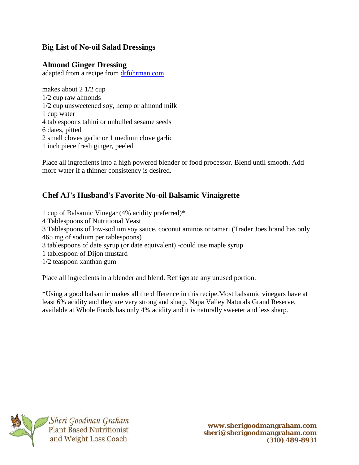## **Big List of No-oil Salad Dressings**

## **Almond Ginger Dressing**

adapted from a recipe from [drfuhrman.com](http://drfuhrman.com/)

makes about 2 1/2 cup 1/2 cup raw almonds 1/2 cup unsweetened soy, hemp or almond milk 1 cup water 4 tablespoons tahini or unhulled sesame seeds 6 dates, pitted 2 small cloves garlic or 1 medium clove garlic 1 inch piece fresh ginger, peeled

Place all ingredients into a high powered blender or food processor. Blend until smooth. Add more water if a thinner consistency is desired.

## **Chef AJ's Husband's Favorite No-oil Balsamic Vinaigrette**

1 cup of Balsamic Vinegar (4% acidity preferred)\* 4 Tablespoons of Nutritional Yeast 3 Tablespoons of low-sodium soy sauce, coconut aminos or tamari (Trader Joes brand has only 465 mg of sodium per tablespoons) 3 tablespoons of date syrup (or date equivalent) -could use maple syrup 1 tablespoon of Dijon mustard 1/2 teaspoon xanthan gum

Place all ingredients in a blender and blend. Refrigerate any unused portion.

\*Using a good balsamic makes all the difference in this recipe.Most balsamic vinegars have at least 6% acidity and they are very strong and sharp. Napa Valley Naturals Grand Reserve, available at Whole Foods has only 4% acidity and it is naturally sweeter and less sharp.

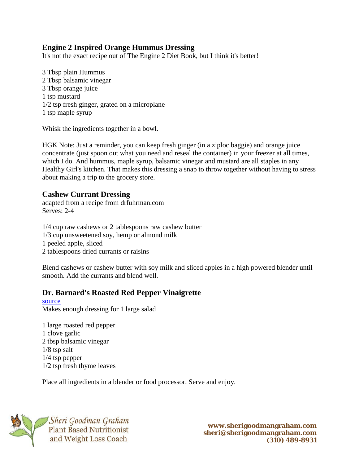### **Engine 2 Inspired Orange Hummus Dressing**

It's not the exact recipe out of The Engine 2 Diet Book, but I think it's better!

3 Tbsp plain Hummus 2 Tbsp balsamic vinegar 3 Tbsp orange juice 1 tsp mustard 1/2 tsp fresh ginger, grated on a microplane 1 tsp maple syrup

Whisk the ingredients together in a bowl.

HGK Note: Just a reminder, you can keep fresh ginger (in a ziploc baggie) and orange juice concentrate (just spoon out what you need and reseal the container) in your freezer at all times, which I do. And hummus, maple syrup, balsamic vinegar and mustard are all staples in any Healthy Girl's kitchen. That makes this dressing a snap to throw together without having to stress about making a trip to the grocery store.

#### **Cashew Currant Dressing**

adapted from a recipe from drfuhrman.com Serves: 2-4

1/4 cup raw cashews or 2 tablespoons raw cashew butter 1/3 cup unsweetened soy, hemp or almond milk 1 peeled apple, sliced 2 tablespoons dried currants or raisins

Blend cashews or cashew butter with soy milk and sliced apples in a high powered blender until smooth. Add the currants and blend well.

#### **Dr. Barnard's Roasted Red Pepper Vinaigrette**

[source](http://www.doctoroz.com/videos/roasted-red-pepper-vinaigrette) Makes enough dressing for 1 large salad

1 large roasted red pepper 1 clove garlic 2 tbsp balsamic vinegar 1/8 tsp salt 1/4 tsp pepper 1/2 tsp fresh thyme leaves

Place all ingredients in a blender or food processor. Serve and enjoy.

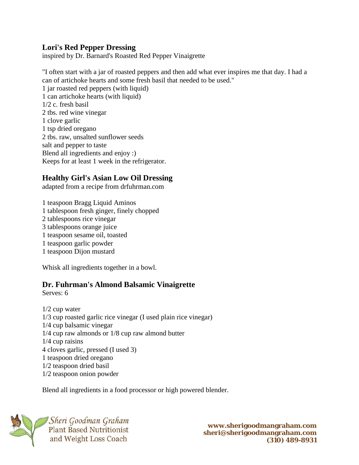#### **Lori's Red Pepper Dressing**

inspired by Dr. Barnard's Roasted Red Pepper Vinaigrette

"I often start with a jar of roasted peppers and then add what ever inspires me that day. I had a can of artichoke hearts and some fresh basil that needed to be used."

1 jar roasted red peppers (with liquid) 1 can artichoke hearts (with liquid) 1/2 c. fresh basil 2 tbs. red wine vinegar 1 clove garlic 1 tsp dried oregano 2 tbs. raw, unsalted sunflower seeds salt and pepper to taste Blend all ingredients and enjoy :) Keeps for at least 1 week in the refrigerator.

## **Healthy Girl's Asian Low Oil Dressing**

adapted from a recipe from drfuhrman.com

1 teaspoon Bragg Liquid Aminos 1 tablespoon fresh ginger, finely chopped 2 tablespoons rice vinegar 3 tablespoons orange juice 1 teaspoon sesame oil, toasted 1 teaspoon garlic powder 1 teaspoon Dijon mustard

Whisk all ingredients together in a bowl.

#### **Dr. Fuhrman's Almond Balsamic Vinaigrette**

Serves: 6

1/2 cup water 1/3 cup roasted garlic rice vinegar (I used plain rice vinegar) 1/4 cup balsamic vinegar 1/4 cup raw almonds or 1/8 cup raw almond butter 1/4 cup raisins 4 cloves garlic, pressed (I used 3) 1 teaspoon dried oregano 1/2 teaspoon dried basil 1/2 teaspoon onion powder

Blend all ingredients in a food processor or high powered blender.

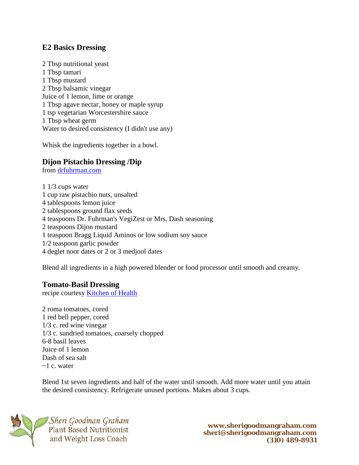### **E2 Basics Dressing**

2 Tbsp nutritional yeast 1 Tbsp tamari 1 Tbsp mustard 2 Tbsp balsamic vinegar Juice of 1 lemon, lime or orange 1 Tbsp agave nectar, honey or maple syrup 1 tsp vegetarian Worcestershire sauce 1 Tbsp wheat germ Water to desired consistency (I didn't use any)

Whisk the ingredients together in a bowl.

## **Dijon Pistachio Dressing /Dip**

from [drfuhrman.com](http://.drfuhrman.com/)

1 1/3 cups water 1 cup raw pistachio nuts, unsalted 4 tablespoons lemon juice 2 tablespoons ground flax seeds 4 teaspoons Dr. Fuhrman's VegiZest or Mrs. Dash seasoning 2 teaspoons Dijon mustard 1 teaspoon Bragg Liquid Aminos or low sodium soy sauce 1/2 teaspoon garlic powder 4 deglet noor dates or 2 or 3 medjool dates

Blend all ingredients in a high powered blender or food processor until smooth and creamy.

#### **Tomato-Basil Dressing**

recipe courtesy [Kitchen of Health](http://kitchenofhealth.blogspot.com/2011/09/no-oil-salad-dressings.html)

2 roma tomatoes, cored 1 red bell pepper, cored 1/3 c. red wine vinegar 1/3 c. sundried tomatoes, coarsely chopped 6-8 basil leaves Juice of 1 lemon Dash of sea salt  $\sim$ 1 c. water

Blend 1st seven ingredients and half of the water until smooth. Add more water until you attain the desired consistency. Refrigerate unused portions. Makes about 3 cups.



<sup>1</sup>Sheri Goodman Graham **Plant Based Nutritionist** and Weight Loss Coach

**www.sherigoodmangraham.com sheri@sherigoodmangraham.com (310) 489-8931**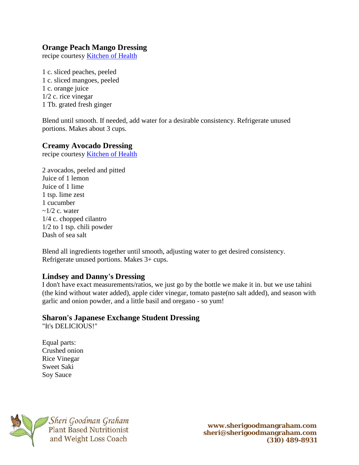### **Orange Peach Mango Dressing**

recipe courtesy [Kitchen of Health](http://kitchenofhealth.blogspot.com/2011/09/no-oil-salad-dressings.html)

1 c. sliced peaches, peeled 1 c. sliced mangoes, peeled 1 c. orange juice 1/2 c. rice vinegar 1 Tb. grated fresh ginger

Blend until smooth. If needed, add water for a desirable consistency. Refrigerate unused portions. Makes about 3 cups.

#### **Creamy Avocado Dressing**

recipe courtesy [Kitchen of Health](http://kitchenofhealth.blogspot.com/2011/09/no-oil-salad-dressings.html)

2 avocados, peeled and pitted Juice of 1 lemon Juice of 1 lime 1 tsp. lime zest 1 cucumber  $\sim$ 1/2 c. water 1/4 c. chopped cilantro 1/2 to 1 tsp. chili powder Dash of sea salt

Blend all ingredients together until smooth, adjusting water to get desired consistency. Refrigerate unused portions. Makes 3+ cups.

#### **Lindsey and Danny's Dressing**

I don't have exact measurements/ratios, we just go by the bottle we make it in. but we use tahini (the kind without water added), apple cider vinegar, tomato paste(no salt added), and season with garlic and onion powder, and a little basil and oregano - so yum!

#### **Sharon's Japanese Exchange Student Dressing**

"It's DELICIOUS!"

Equal parts: Crushed onion Rice Vinegar Sweet Saki Soy Sauce



<sup>1</sup>Sheri Goodman Graham **Plant Based Nutritionist** and Weight Loss Coach

**www.sherigoodmangraham.com sheri@sherigoodmangraham.com (310) 489-8931**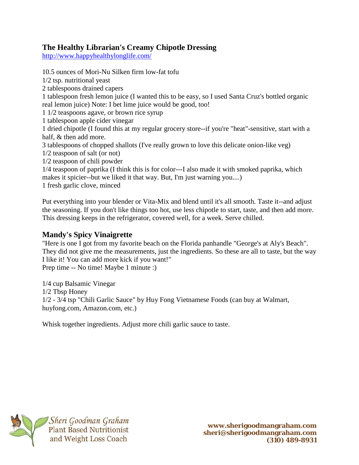## **The Healthy Librarian's Creamy Chipotle Dressing**

<http://www.happyhealthylonglife.com/>

10.5 ounces of Mori-Nu Silken firm low-fat tofu 1/2 tsp. nutritional yeast 2 tablespoons drained capers 1 tablespoon fresh lemon juice (I wanted this to be easy, so I used Santa Cruz's bottled organic real lemon juice) Note: I bet lime juice would be good, too! 1 1/2 teaspoons agave, or brown rice syrup 1 tablespoon apple cider vinegar 1 dried chipotle (I found this at my regular grocery store--if you're "heat"-sensitive, start with a half, & then add more. 3 tablespoons of chopped shallots (I've really grown to love this delicate onion-like veg) 1/2 teaspoon of salt (or not) 1/2 teaspoon of chili powder 1/4 teaspoon of paprika (I think this is for color---I also made it with smoked paprika, which makes it spicier--but we liked it that way. But, I'm just warning you....) 1 fresh garlic clove, minced

Put everything into your blender or Vita-Mix and blend until it's all smooth. Taste it--and adjust the seasoning. If you don't like things too hot, use less chipotle to start, taste, and then add more. This dressing keeps in the refrigerator, covered well, for a week. Serve chilled.

## **Mandy's Spicy Vinaigrette**

"Here is one I got from my favorite beach on the Florida panhandle "George's at Aly's Beach". They did not give me the measurements, just the ingredients. So these are all to taste, but the way I like it! You can add more kick if you want!"

Prep time -- No time! Maybe 1 minute :)

1/4 cup Balsamic Vinegar 1/2 Tbsp Honey 1/2 - 3/4 tsp "Chili Garlic Sauce" by Huy Fong Vietnamese Foods (can buy at Walmart, huyfong.com, Amazon.com, etc.)

Whisk together ingredients. Adjust more chili garlic sauce to taste.

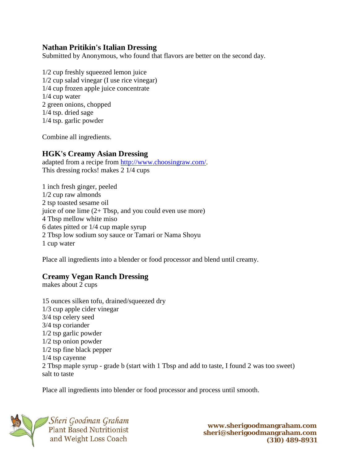#### **Nathan Pritikin's Italian Dressing**

Submitted by Anonymous, who found that flavors are better on the second day.

1/2 cup freshly squeezed lemon juice 1/2 cup salad vinegar (I use rice vinegar) 1/4 cup frozen apple juice concentrate 1/4 cup water 2 green onions, chopped 1/4 tsp. dried sage 1/4 tsp. garlic powder

Combine all ingredients.

#### **HGK's Creamy Asian Dressing**

adapted from a recipe from [http://www.choosingraw.com/.](http://www.choosingraw.com/) This dressing rocks! makes 2 1/4 cups

1 inch fresh ginger, peeled 1/2 cup raw almonds 2 tsp toasted sesame oil juice of one lime (2+ Tbsp, and you could even use more) 4 Tbsp mellow white miso 6 dates pitted or 1/4 cup maple syrup 2 Tbsp low sodium soy sauce or Tamari or Nama Shoyu 1 cup water

Place all ingredients into a blender or food processor and blend until creamy.

#### **Creamy Vegan Ranch Dressing**

makes about 2 cups

15 ounces silken tofu, drained/squeezed dry 1/3 cup apple cider vinegar 3/4 tsp celery seed 3/4 tsp coriander 1/2 tsp garlic powder 1/2 tsp onion powder 1/2 tsp fine black pepper 1/4 tsp cayenne 2 Tbsp maple syrup - grade b (start with 1 Tbsp and add to taste, I found 2 was too sweet) salt to taste

Place all ingredients into blender or food processor and process until smooth.

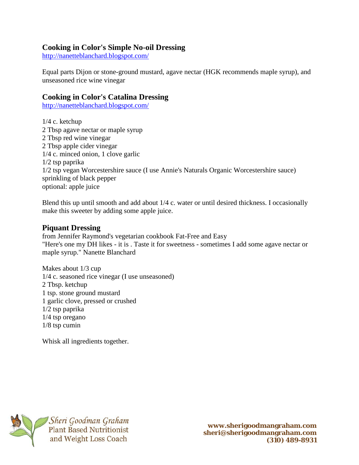#### **Cooking in Color's Simple No-oil Dressing**

<http://nanetteblanchard.blogspot.com/>

Equal parts Dijon or stone-ground mustard, agave nectar (HGK recommends maple syrup), and unseasoned rice wine vinegar

#### **Cooking in Color's Catalina Dressing**

<http://nanetteblanchard.blogspot.com/>

1/4 c. ketchup 2 Tbsp agave nectar or maple syrup 2 Tbsp red wine vinegar 2 Tbsp apple cider vinegar 1/4 c. minced onion, 1 clove garlic 1/2 tsp paprika 1/2 tsp vegan Worcestershire sauce (I use Annie's Naturals Organic Worcestershire sauce) sprinkling of black pepper optional: apple juice

Blend this up until smooth and add about 1/4 c. water or until desired thickness. I occasionally make this sweeter by adding some apple juice.

#### **Piquant Dressing**

from Jennifer Raymond's vegetarian cookbook Fat-Free and Easy "Here's one my DH likes - it is . Taste it for sweetness - sometimes I add some agave nectar or maple syrup." Nanette Blanchard

Makes about 1/3 cup 1/4 c. seasoned rice vinegar (I use unseasoned) 2 Tbsp. ketchup 1 tsp. stone ground mustard 1 garlic clove, pressed or crushed 1/2 tsp paprika 1/4 tsp oregano 1/8 tsp cumin

Whisk all ingredients together.



**www.sherigoodmangraham.com sheri@sherigoodmangraham.com (310) 489-8931**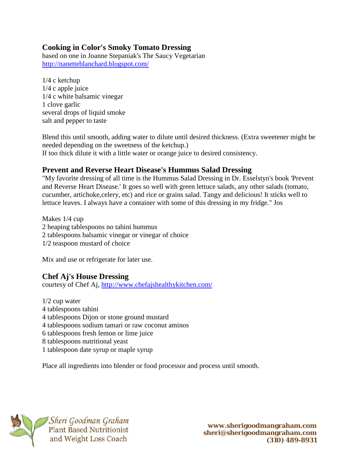## **Cooking in Color's Smoky Tomato Dressing**

based on one in Joanne Stepaniak's The Saucy Vegetarian <http://nanetteblanchard.blogspot.com/>

1/4 c ketchup 1/4 c apple juice 1/4 c white balsamic vinegar 1 clove garlic several drops of liquid smoke salt and pepper to taste

Blend this until smooth, adding water to dilute until desired thickness. (Extra sweetener might be needed depending on the sweetness of the ketchup.) If too thick dilute it with a little water or orange juice to desired consistency.

# **Prevent and Reverse Heart Disease's Hummus Salad Dressing**

"My favorite dressing of all time is the Hummus Salad Dressing in Dr. Esselstyn's book 'Prevent and Reverse Heart Disease.' It goes so well with green lettuce salads, any other salads (tomato, cucumber, artichoke,celery, etc) and rice or grains salad. Tangy and delicious! It sticks well to lettuce leaves. I always have a container with some of this dressing in my fridge." Jos

Makes 1/4 cup 2 heaping tablespoons no tahini hummus 2 tablespoons balsamic vinegar or vinegar of choice 1/2 teaspoon mustard of choice

Mix and use or refrigerate for later use.

## **Chef Aj's House Dressing**

courtesy of Chef Aj,<http://www.chefajshealthykitchen.com/>

1/2 cup water 4 tablespoons tahini 4 tablespoons Dijon or stone ground mustard 4 tablespoons sodium tamari or raw coconut aminos 6 tablespoons fresh lemon or lime juice 8 tablespoons nutritional yeast 1 tablespoon date syrup or maple syrup

Place all ingredients into blender or food processor and process until smooth.



Plant Based Nutritionist and Weight Loss Coach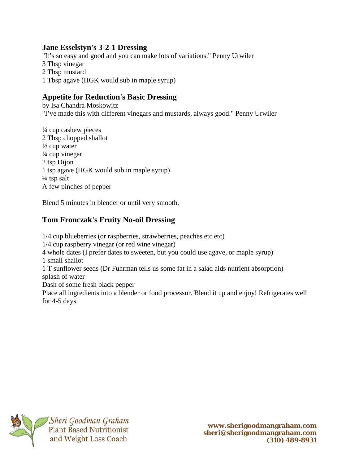#### **Jane Esselstyn's 3-2-1 Dressing**

"It's so easy and good and you can make lots of variations." Penny Urwiler 3 Tbsp vinegar 2 Tbsp mustard 1 Tbsp agave (HGK would sub in maple syrup)

## **Appetite for Reduction's Basic Dressing**

by Isa Chandra Moskowitz "I've made this with different vinegars and mustards, always good." Penny Urwiler

¼ cup cashew pieces 2 Tbsp chopped shallot  $\frac{1}{2}$  cup water ¼ cup vinegar 2 tsp Dijon 1 tsp agave (HGK would sub in maple syrup) ¾ tsp salt A few pinches of pepper

Blend 5 minutes in blender or until very smooth.

## **Tom Fronczak's Fruity No-oil Dressing**

1/4 cup blueberries (or raspberries, strawberries, peaches etc etc) 1/4 cup raspberry vinegar (or red wine vinegar) 4 whole dates (I prefer dates to sweeten, but you could use agave, or maple syrup) 1 small shallot 1 T sunflower seeds (Dr Fuhrman tells us some fat in a salad aids nutrient absorption) splash of water Dash of some fresh black pepper Place all ingredients into a blender or food processor. Blend it up and enjoy! Refrigerates well for 4-5 days.